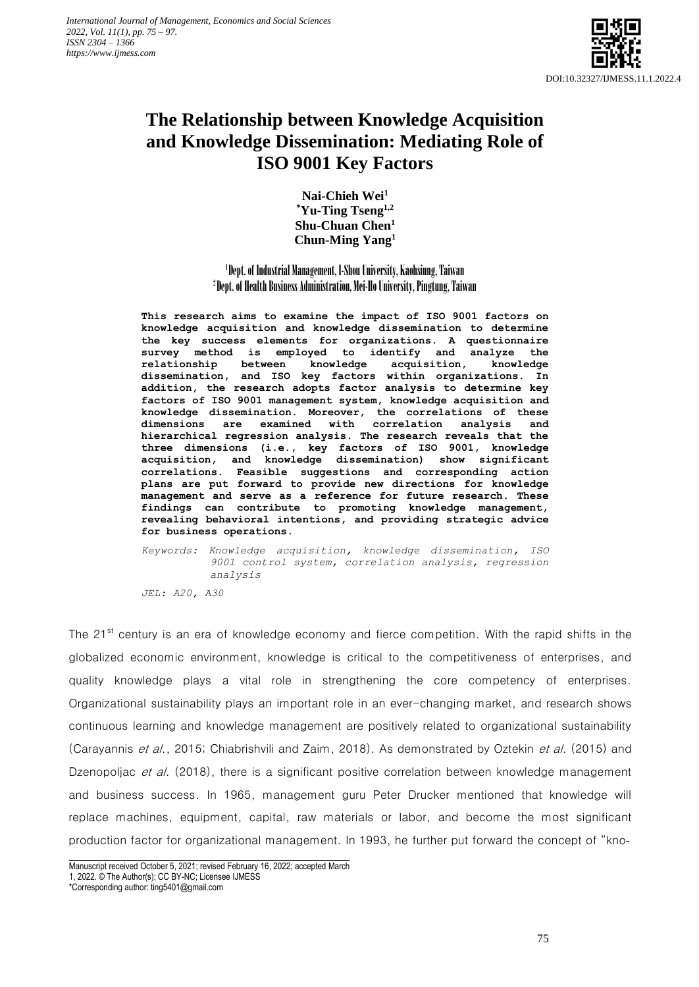

# **The Relationship between Knowledge Acquisition and Knowledge Dissemination: Mediating Role of ISO 9001 Key Factors**

**Nai-Chieh Wei<sup>1</sup> \*Yu-Ting Tseng1,2 Shu-Chuan Chen<sup>1</sup> Chun-Ming Yang<sup>1</sup>**

# 1 Dept. of Industrial Management, I-Shou University, Kaohsiung, Taiwan 2 Dept. of Health Business Administration, Mei-Ho University, Pingtung, Taiwan

**This research aims to examine the impact of ISO 9001 factors on knowledge acquisition and knowledge dissemination to determine the key success elements for organizations. A questionnaire survey method is employed to identify and analyze the relationship between knowledge acquisition, knowledge dissemination, and ISO key factors within organizations. In addition, the research adopts factor analysis to determine key factors of ISO 9001 management system, knowledge acquisition and knowledge dissemination. Moreover, the correlations of these dimensions are examined with correlation analysis and hierarchical regression analysis. The research reveals that the three dimensions (i.e., key factors of ISO 9001, knowledge acquisition, and knowledge dissemination) show significant correlations. Feasible suggestions and corresponding action plans are put forward to provide new directions for knowledge management and serve as a reference for future research. These findings can contribute to promoting knowledge management, revealing behavioral intentions, and providing strategic advice for business operations.**

*Keywords: Knowledge acquisition, knowledge dissemination, ISO 9001 control system, correlation analysis, regression analysis*

*JEL: A20, A30*

The 21<sup>st</sup> century is an era of knowledge economy and fierce competition. With the rapid shifts in the globalized economic environment, knowledge is critical to the competitiveness of enterprises, and quality knowledge plays a vital role in strengthening the core competency of enterprises. Organizational sustainability plays an important role in an ever-changing market, and research shows continuous learning and knowledge management are positively related to organizational sustainability (Carayannis et al., 2015; Chiabrishvili and Zaim, 2018). As demonstrated by Oztekin et al. (2015) and Dzenopoljac et al. (2018), there is a significant positive correlation between knowledge management and business success. In 1965, management guru Peter Drucker mentioned that knowledge will replace machines, equipment, capital, raw materials or labor, and become the most significant production factor for organizational management. In 1993, he further put forward the concept of "kno-

Manuscript received October 5, 2021; revised February 16, 2022; accepted March

<sup>1, 2022. ©</sup> The Author(s); CC BY-NC; Licensee IJMESS

<sup>\*</sup>Corresponding author: ting5401@gmail.com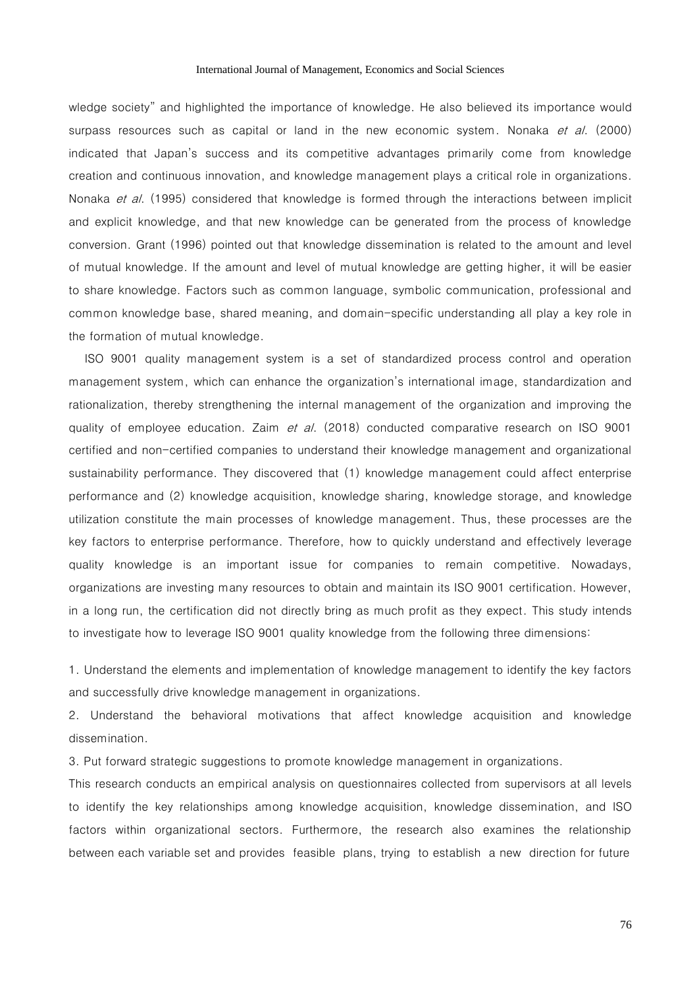wledge society" and highlighted the importance of knowledge. He also believed its importance would surpass resources such as capital or land in the new economic system. Nonaka et al. (2000) indicated that Japan's success and its competitive advantages primarily come from knowledge creation and continuous innovation, and knowledge management plays a critical role in organizations. Nonaka et al. (1995) considered that knowledge is formed through the interactions between implicit and explicit knowledge, and that new knowledge can be generated from the process of knowledge conversion. Grant (1996) pointed out that knowledge dissemination is related to the amount and level of mutual knowledge. If the amount and level of mutual knowledge are getting higher, it will be easier to share knowledge. Factors such as common language, symbolic communication, professional and common knowledge base, shared meaning, and domain-specific understanding all play a key role in the formation of mutual knowledge.

ISO 9001 quality management system is a set of standardized process control and operation management system, which can enhance the organization's international image, standardization and rationalization, thereby strengthening the internal management of the organization and improving the quality of employee education. Zaim et al. (2018) conducted comparative research on ISO 9001 certified and non-certified companies to understand their knowledge management and organizational sustainability performance. They discovered that (1) knowledge management could affect enterprise performance and (2) knowledge acquisition, knowledge sharing, knowledge storage, and knowledge utilization constitute the main processes of knowledge management. Thus, these processes are the key factors to enterprise performance. Therefore, how to quickly understand and effectively leverage quality knowledge is an important issue for companies to remain competitive. Nowadays, organizations are investing many resources to obtain and maintain its ISO 9001 certification. However, in a long run, the certification did not directly bring as much profit as they expect. This study intends to investigate how to leverage ISO 9001 quality knowledge from the following three dimensions:

1. Understand the elements and implementation of knowledge management to identify the key factors and successfully drive knowledge management in organizations.

2. Understand the behavioral motivations that affect knowledge acquisition and knowledge dissemination.

3. Put forward strategic suggestions to promote knowledge management in organizations.

This research conducts an empirical analysis on questionnaires collected from supervisors at all levels to identify the key relationships among knowledge acquisition, knowledge dissemination, and ISO factors within organizational sectors. Furthermore, the research also examines the relationship between each variable set and provides feasible plans, trying to establish a new direction for future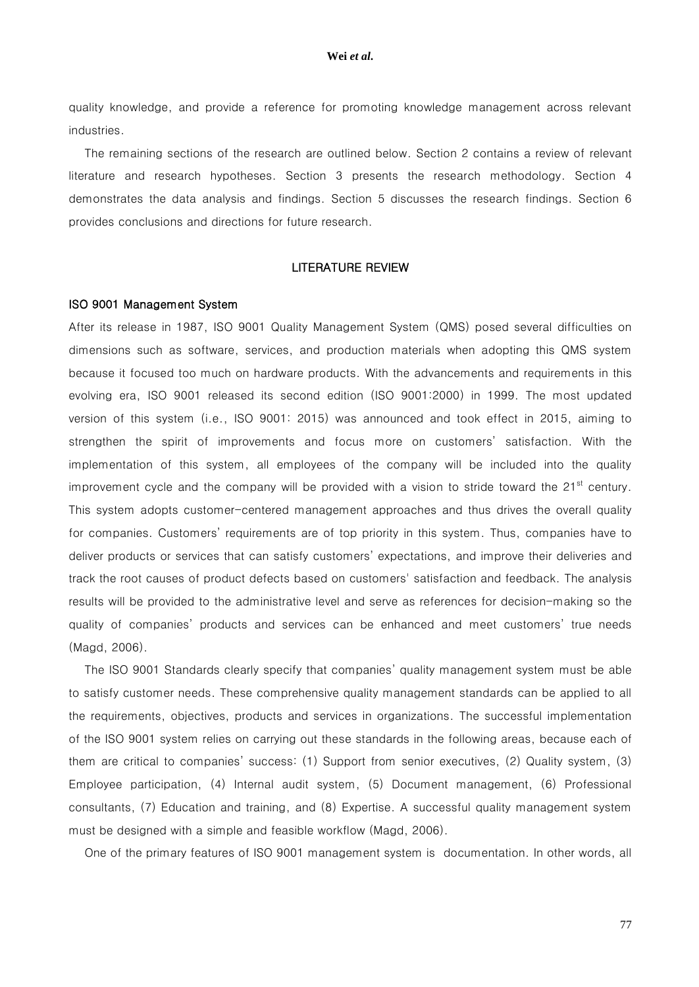quality knowledge, and provide a reference for promoting knowledge management across relevant industries.

The remaining sections of the research are outlined below. Section 2 contains a review of relevant literature and research hypotheses. Section 3 presents the research methodology. Section 4 demonstrates the data analysis and findings. Section 5 discusses the research findings. Section 6 provides conclusions and directions for future research.

### LITERATURE REVIEW

#### ISO 9001 Management System

After its release in 1987, ISO 9001 Quality Management System (QMS) posed several difficulties on dimensions such as software, services, and production materials when adopting this QMS system because it focused too much on hardware products. With the advancements and requirements in this evolving era, ISO 9001 released its second edition (ISO 9001:2000) in 1999. The most updated version of this system (i.e., ISO 9001: 2015) was announced and took effect in 2015, aiming to strengthen the spirit of improvements and focus more on customers' satisfaction. With the implementation of this system, all employees of the company will be included into the quality improvement cycle and the company will be provided with a vision to stride toward the  $21<sup>st</sup>$  century. This system adopts customer-centered management approaches and thus drives the overall quality for companies. Customers' requirements are of top priority in this system. Thus, companies have to deliver products or services that can satisfy customers' expectations, and improve their deliveries and track the root causes of product defects based on customers' satisfaction and feedback. The analysis results will be provided to the administrative level and serve as references for decision-making so the quality of companies' products and services can be enhanced and meet customers' true needs (Magd, 2006).

The ISO 9001 Standards clearly specify that companies' quality management system must be able to satisfy customer needs. These comprehensive quality management standards can be applied to all the requirements, objectives, products and services in organizations. The successful implementation of the ISO 9001 system relies on carrying out these standards in the following areas, because each of them are critical to companies' success: (1) Support from senior executives, (2) Quality system, (3) Employee participation, (4) Internal audit system, (5) Document management, (6) Professional consultants, (7) Education and training, and (8) Expertise. A successful quality management system must be designed with a simple and feasible workflow (Magd, 2006).

One of the primary features of ISO 9001 management system is documentation. In other words, all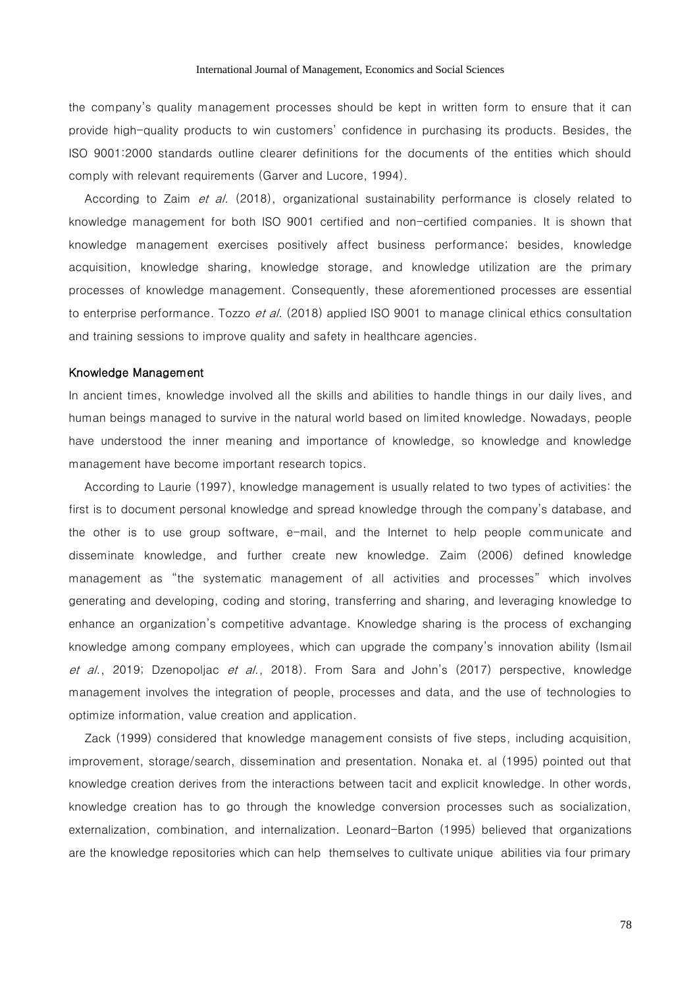the company's quality management processes should be kept in written form to ensure that it can provide high-quality products to win customers' confidence in purchasing its products. Besides, the ISO 9001:2000 standards outline clearer definitions for the documents of the entities which should comply with relevant requirements (Garver and Lucore, 1994).

According to Zaim et al. (2018), organizational sustainability performance is closely related to knowledge management for both ISO 9001 certified and non-certified companies. It is shown that knowledge management exercises positively affect business performance; besides, knowledge acquisition, knowledge sharing, knowledge storage, and knowledge utilization are the primary processes of knowledge management. Consequently, these aforementioned processes are essential to enterprise performance. Tozzo et al. (2018) applied ISO 9001 to manage clinical ethics consultation and training sessions to improve quality and safety in healthcare agencies.

#### Knowledge Management

In ancient times, knowledge involved all the skills and abilities to handle things in our daily lives, and human beings managed to survive in the natural world based on limited knowledge. Nowadays, people have understood the inner meaning and importance of knowledge, so knowledge and knowledge management have become important research topics.

According to Laurie (1997), knowledge management is usually related to two types of activities: the first is to document personal knowledge and spread knowledge through the company's database, and the other is to use group software, e-mail, and the Internet to help people communicate and disseminate knowledge, and further create new knowledge. Zaim (2006) defined knowledge management as "the systematic management of all activities and processes" which involves generating and developing, coding and storing, transferring and sharing, and leveraging knowledge to enhance an organization's competitive advantage. Knowledge sharing is the process of exchanging knowledge among company employees, which can upgrade the company's innovation ability (Ismail et al., 2019; Dzenopoljac et al., 2018). From Sara and John's (2017) perspective, knowledge management involves the integration of people, processes and data, and the use of technologies to optimize information, value creation and application.

Zack (1999) considered that knowledge management consists of five steps, including acquisition, improvement, storage/search, dissemination and presentation. Nonaka et. al (1995) pointed out that knowledge creation derives from the interactions between tacit and explicit knowledge. In other words, knowledge creation has to go through the knowledge conversion processes such as socialization, externalization, combination, and internalization. Leonard-Barton (1995) believed that organizations are the knowledge repositories which can help themselves to cultivate unique abilities via four primary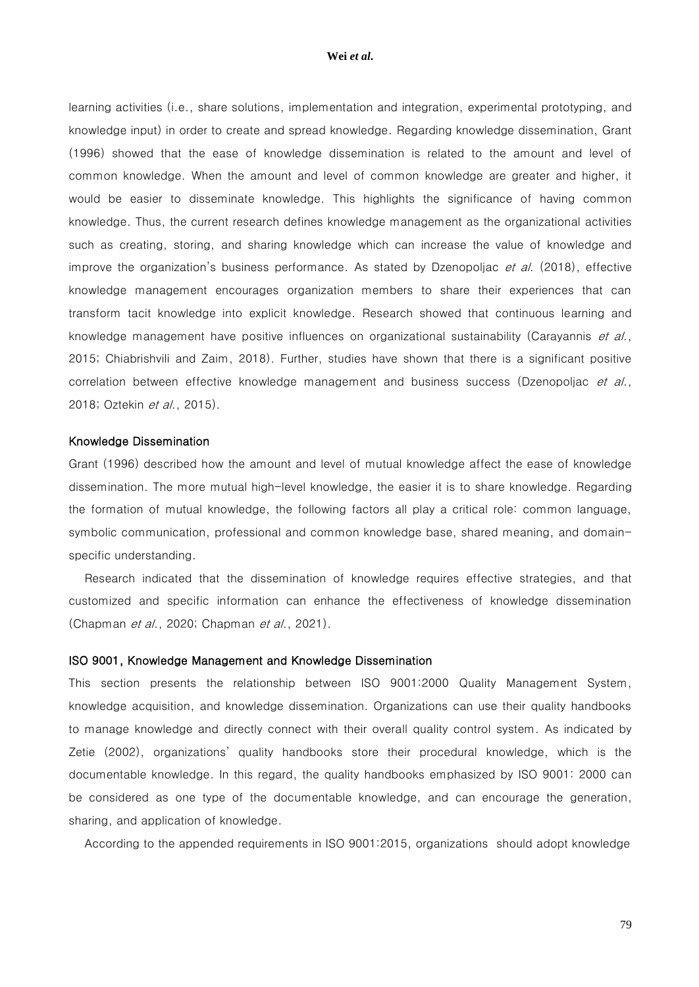learning activities (i.e., share solutions, implementation and integration, experimental prototyping, and knowledge input) in order to create and spread knowledge. Regarding knowledge dissemination, Grant (1996) showed that the ease of knowledge dissemination is related to the amount and level of common knowledge. When the amount and level of common knowledge are greater and higher, it would be easier to disseminate knowledge. This highlights the significance of having common knowledge. Thus, the current research defines knowledge management as the organizational activities such as creating, storing, and sharing knowledge which can increase the value of knowledge and improve the organization's business performance. As stated by Dzenopoljac  $et$  al. (2018), effective knowledge management encourages organization members to share their experiences that can transform tacit knowledge into explicit knowledge. Research showed that continuous learning and knowledge management have positive influences on organizational sustainability (Carayannis et al., 2015; Chiabrishvili and Zaim, 2018). Further, studies have shown that there is a significant positive correlation between effective knowledge management and business success (Dzenopoljac et al., 2018; Oztekin et al., 2015).

#### Knowledge Dissemination

Grant (1996) described how the amount and level of mutual knowledge affect the ease of knowledge dissemination. The more mutual high-level knowledge, the easier it is to share knowledge. Regarding the formation of mutual knowledge, the following factors all play a critical role: common language, symbolic communication, professional and common knowledge base, shared meaning, and domainspecific understanding.

Research indicated that the dissemination of knowledge requires effective strategies, and that customized and specific information can enhance the effectiveness of knowledge dissemination (Chapman *et al.*, 2020; Chapman *et al.*, 2021).

#### ISO 9001, Knowledge Management and Knowledge Dissemination

This section presents the relationship between ISO 9001:2000 Quality Management System, knowledge acquisition, and knowledge dissemination. Organizations can use their quality handbooks to manage knowledge and directly connect with their overall quality control system. As indicated by Zetie (2002), organizations' quality handbooks store their procedural knowledge, which is the documentable knowledge. In this regard, the quality handbooks emphasized by ISO 9001: 2000 can be considered as one type of the documentable knowledge, and can encourage the generation, sharing, and application of knowledge.

According to the appended requirements in ISO 9001:2015, organizations should adopt knowledge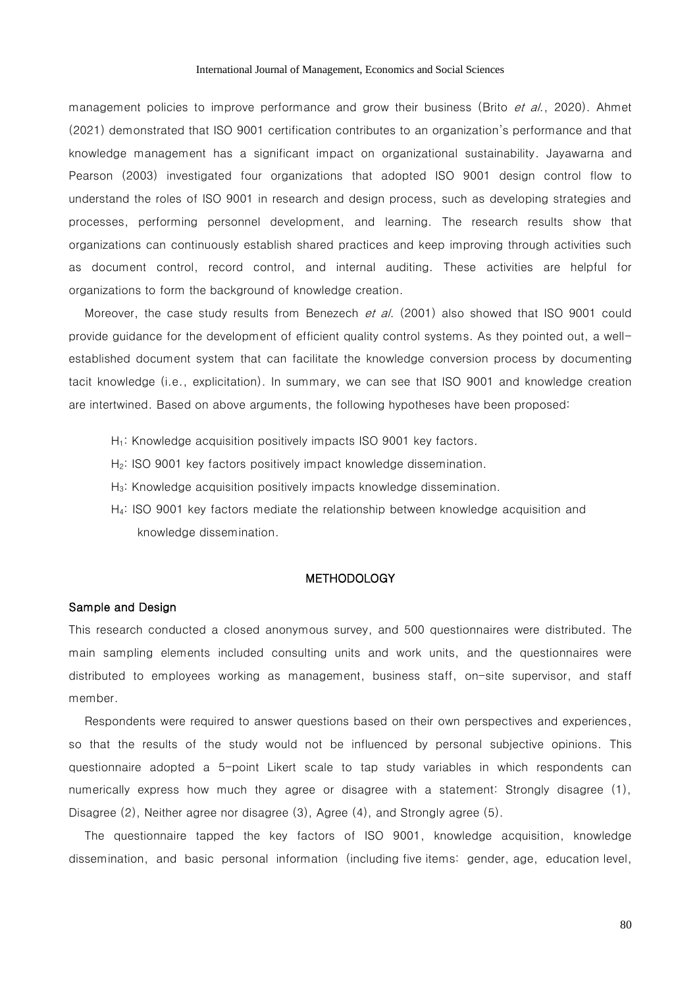management policies to improve performance and grow their business (Brito et al., 2020). Ahmet (2021) demonstrated that ISO 9001 certification contributes to an organization's performance and that knowledge management has a significant impact on organizational sustainability. Jayawarna and Pearson (2003) investigated four organizations that adopted ISO 9001 design control flow to understand the roles of ISO 9001 in research and design process, such as developing strategies and processes, performing personnel development, and learning. The research results show that organizations can continuously establish shared practices and keep improving through activities such as document control, record control, and internal auditing. These activities are helpful for organizations to form the background of knowledge creation.

Moreover, the case study results from Benezech et al. (2001) also showed that ISO 9001 could provide guidance for the development of efficient quality control systems. As they pointed out, a wellestablished document system that can facilitate the knowledge conversion process by documenting tacit knowledge (i.e., explicitation). In summary, we can see that ISO 9001 and knowledge creation are intertwined. Based on above arguments, the following hypotheses have been proposed:

- H<sub>1</sub>: Knowledge acquisition positively impacts ISO 9001 key factors.
- H<sub>2</sub>: ISO 9001 key factors positively impact knowledge dissemination.
- H<sub>3</sub>: Knowledge acquisition positively impacts knowledge dissemination.
- H4: ISO 9001 key factors mediate the relationship between knowledge acquisition and knowledge dissemination.

#### **METHODOLOGY**

#### Sample and Design

This research conducted a closed anonymous survey, and 500 questionnaires were distributed. The main sampling elements included consulting units and work units, and the questionnaires were distributed to employees working as management, business staff, on-site supervisor, and staff member.

Respondents were required to answer questions based on their own perspectives and experiences, so that the results of the study would not be influenced by personal subjective opinions. This questionnaire adopted a 5-point Likert scale to tap study variables in which respondents can numerically express how much they agree or disagree with a statement: Strongly disagree (1), Disagree (2), Neither agree nor disagree (3), Agree (4), and Strongly agree (5).

The questionnaire tapped the key factors of ISO 9001, knowledge acquisition, knowledge dissemination, and basic personal information (including five items: gender, age, education level,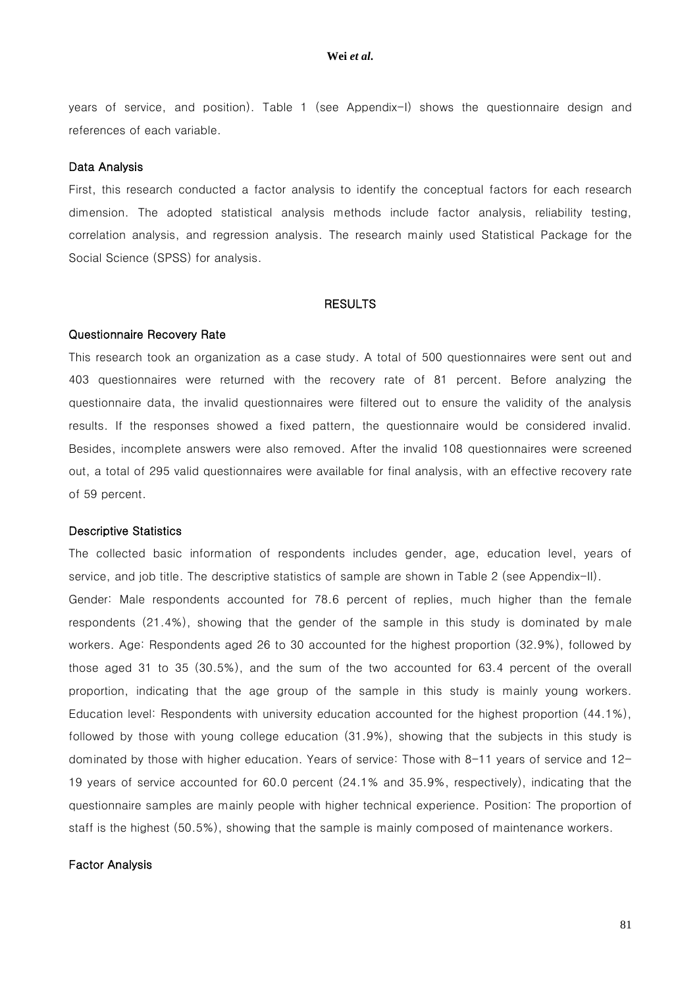years of service, and position). Table 1 (see Appendix-I) shows the questionnaire design and references of each variable.

#### Data Analysis

First, this research conducted a factor analysis to identify the conceptual factors for each research dimension. The adopted statistical analysis methods include factor analysis, reliability testing, correlation analysis, and regression analysis. The research mainly used Statistical Package for the Social Science (SPSS) for analysis.

#### **RESULTS**

#### Questionnaire Recovery Rate

This research took an organization as a case study. A total of 500 questionnaires were sent out and 403 questionnaires were returned with the recovery rate of 81 percent. Before analyzing the questionnaire data, the invalid questionnaires were filtered out to ensure the validity of the analysis results. If the responses showed a fixed pattern, the questionnaire would be considered invalid. Besides, incomplete answers were also removed. After the invalid 108 questionnaires were screened out, a total of 295 valid questionnaires were available for final analysis, with an effective recovery rate of 59 percent.

### Descriptive Statistics

The collected basic information of respondents includes gender, age, education level, years of service, and job title. The descriptive statistics of sample are shown in Table 2 (see Appendix-II). Gender: Male respondents accounted for 78.6 percent of replies, much higher than the female respondents (21.4%), showing that the gender of the sample in this study is dominated by male workers. Age: Respondents aged 26 to 30 accounted for the highest proportion (32.9%), followed by those aged 31 to 35 (30.5%), and the sum of the two accounted for 63.4 percent of the overall proportion, indicating that the age group of the sample in this study is mainly young workers. Education level: Respondents with university education accounted for the highest proportion (44.1%), followed by those with young college education (31.9%), showing that the subjects in this study is dominated by those with higher education. Years of service: Those with 8-11 years of service and 12- 19 years of service accounted for 60.0 percent (24.1% and 35.9%, respectively), indicating that the questionnaire samples are mainly people with higher technical experience. Position: The proportion of staff is the highest (50.5%), showing that the sample is mainly composed of maintenance workers.

#### Factor Analysis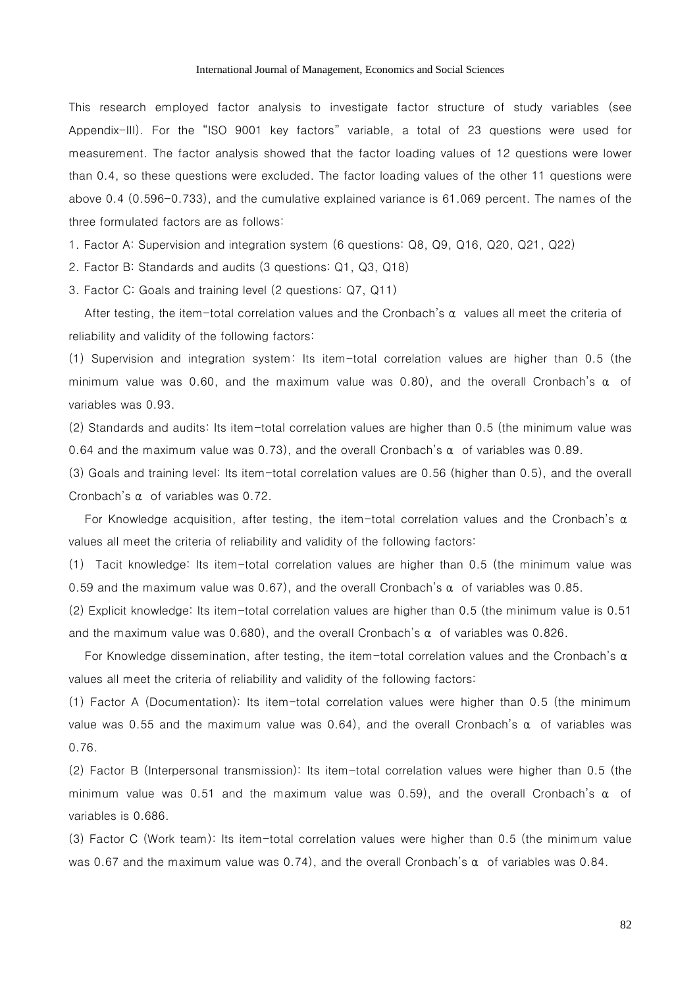This research employed factor analysis to investigate factor structure of study variables (see Appendix-III). For the "ISO 9001 key factors" variable, a total of 23 questions were used for measurement. The factor analysis showed that the factor loading values of 12 questions were lower than 0.4, so these questions were excluded. The factor loading values of the other 11 questions were above 0.4 (0.596-0.733), and the cumulative explained variance is 61.069 percent. The names of the three formulated factors are as follows:

1. Factor A: Supervision and integration system (6 questions: Q8, Q9, Q16, Q20, Q21, Q22)

2. Factor B: Standards and audits (3 questions: Q1, Q3, Q18)

3. Factor C: Goals and training level (2 questions: Q7, Q11)

After testing, the item-total correlation values and the Cronbach's  $\alpha$  values all meet the criteria of reliability and validity of the following factors:

(1) Supervision and integration system: Its item-total correlation values are higher than 0.5 (the minimum value was 0.60, and the maximum value was 0.80), and the overall Cronbach's  $\alpha$  of variables was 0.93.

(2) Standards and audits: Its item-total correlation values are higher than 0.5 (the minimum value was 0.64 and the maximum value was 0.73), and the overall Cronbach's  $\alpha$  of variables was 0.89.

(3) Goals and training level: Its item-total correlation values are 0.56 (higher than 0.5), and the overall Cronbach's α of variables was 0.72.

For Knowledge acquisition, after testing, the item-total correlation values and the Cronbach's  $\alpha$ values all meet the criteria of reliability and validity of the following factors:

(1) Tacit knowledge: Its item-total correlation values are higher than 0.5 (the minimum value was 0.59 and the maximum value was 0.67), and the overall Cronbach's  $\alpha$  of variables was 0.85.

(2) Explicit knowledge: Its item-total correlation values are higher than 0.5 (the minimum value is 0.51 and the maximum value was 0.680), and the overall Cronbach's  $\alpha$  of variables was 0.826.

For Knowledge dissemination, after testing, the item-total correlation values and the Cronbach's  $\alpha$ values all meet the criteria of reliability and validity of the following factors:

(1) Factor A (Documentation): Its item-total correlation values were higher than 0.5 (the minimum value was 0.55 and the maximum value was 0.64), and the overall Cronbach's  $\alpha$  of variables was 0.76.

(2) Factor B (Interpersonal transmission): Its item-total correlation values were higher than 0.5 (the minimum value was 0.51 and the maximum value was 0.59), and the overall Cronbach's  $\alpha$  of variables is 0.686.

(3) Factor C (Work team): Its item-total correlation values were higher than 0.5 (the minimum value was 0.67 and the maximum value was 0.74), and the overall Cronbach's α of variables was 0.84.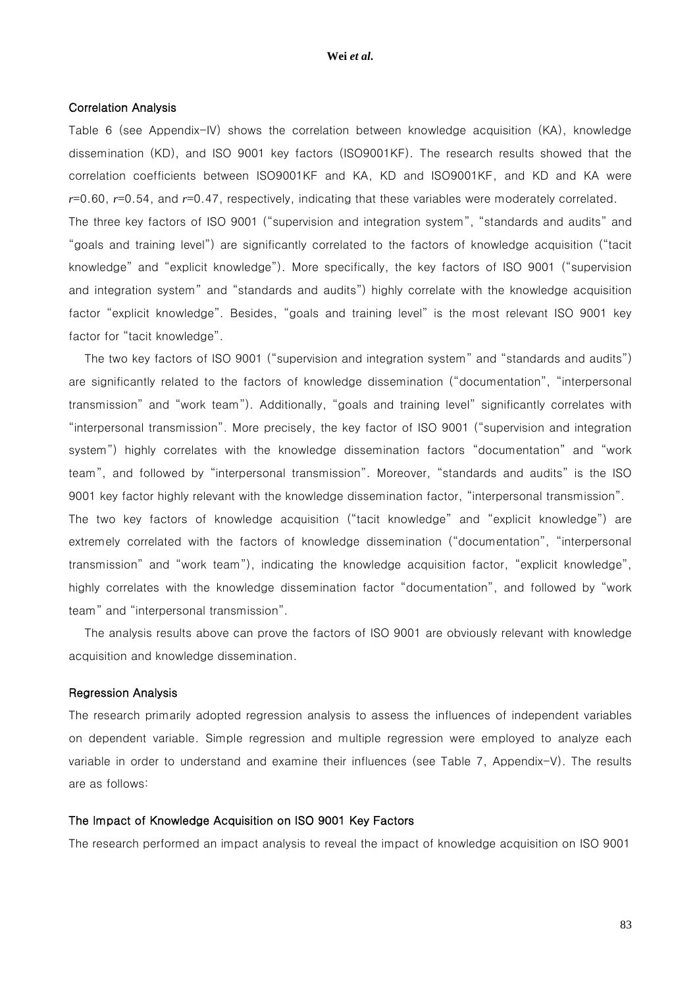#### Correlation Analysis

Table 6 (see Appendix-IV) shows the correlation between knowledge acquisition (KA), knowledge dissemination (KD), and ISO 9001 key factors (ISO9001KF). The research results showed that the correlation coefficients between ISO9001KF and KA, KD and ISO9001KF, and KD and KA were *r*=0.60, *r*=0.54, and *r*=0.47, respectively, indicating that these variables were moderately correlated. The three key factors of ISO 9001 ("supervision and integration system", "standards and audits" and "goals and training level") are significantly correlated to the factors of knowledge acquisition ("tacit knowledge" and "explicit knowledge"). More specifically, the key factors of ISO 9001 ("supervision and integration system" and "standards and audits") highly correlate with the knowledge acquisition factor "explicit knowledge". Besides, "goals and training level" is the most relevant ISO 9001 key factor for "tacit knowledge".

The two key factors of ISO 9001 ("supervision and integration system" and "standards and audits") are significantly related to the factors of knowledge dissemination ("documentation", "interpersonal transmission" and "work team"). Additionally, "goals and training level" significantly correlates with "interpersonal transmission". More precisely, the key factor of ISO 9001 ("supervision and integration system") highly correlates with the knowledge dissemination factors "documentation" and "work team", and followed by "interpersonal transmission". Moreover, "standards and audits" is the ISO 9001 key factor highly relevant with the knowledge dissemination factor, "interpersonal transmission". The two key factors of knowledge acquisition ("tacit knowledge" and "explicit knowledge") are extremely correlated with the factors of knowledge dissemination ("documentation", "interpersonal transmission" and "work team"), indicating the knowledge acquisition factor, "explicit knowledge", highly correlates with the knowledge dissemination factor "documentation", and followed by "work team" and "interpersonal transmission".

The analysis results above can prove the factors of ISO 9001 are obviously relevant with knowledge acquisition and knowledge dissemination.

#### Regression Analysis

The research primarily adopted regression analysis to assess the influences of independent variables on dependent variable. Simple regression and multiple regression were employed to analyze each variable in order to understand and examine their influences (see Table 7, Appendix-V). The results are as follows:

#### The Impact of Knowledge Acquisition on ISO 9001 Key Factors

The research performed an impact analysis to reveal the impact of knowledge acquisition on ISO 9001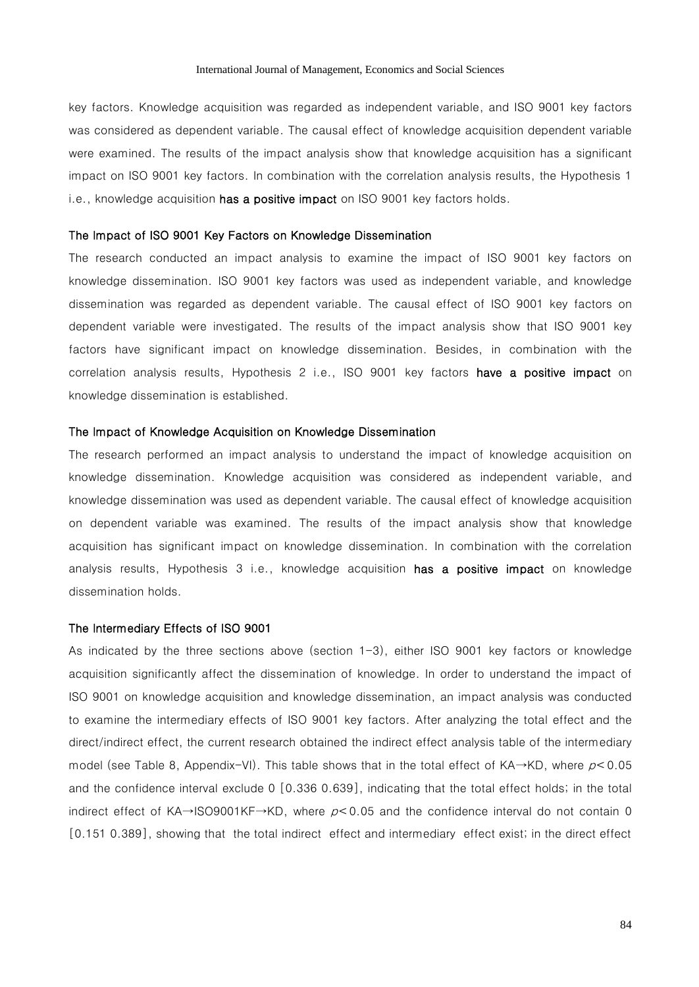key factors. Knowledge acquisition was regarded as independent variable, and ISO 9001 key factors was considered as dependent variable. The causal effect of knowledge acquisition dependent variable were examined. The results of the impact analysis show that knowledge acquisition has a significant impact on ISO 9001 key factors. In combination with the correlation analysis results, the Hypothesis 1 i.e., knowledge acquisition has a positive impact on ISO 9001 key factors holds.

#### The Impact of ISO 9001 Key Factors on Knowledge Dissemination

The research conducted an impact analysis to examine the impact of ISO 9001 key factors on knowledge dissemination. ISO 9001 key factors was used as independent variable, and knowledge dissemination was regarded as dependent variable. The causal effect of ISO 9001 key factors on dependent variable were investigated. The results of the impact analysis show that ISO 9001 key factors have significant impact on knowledge dissemination. Besides, in combination with the correlation analysis results, Hypothesis 2 i.e., ISO 9001 key factors have a positive impact on knowledge dissemination is established.

#### The Impact of Knowledge Acquisition on Knowledge Dissemination

The research performed an impact analysis to understand the impact of knowledge acquisition on knowledge dissemination. Knowledge acquisition was considered as independent variable, and knowledge dissemination was used as dependent variable. The causal effect of knowledge acquisition on dependent variable was examined. The results of the impact analysis show that knowledge acquisition has significant impact on knowledge dissemination. In combination with the correlation analysis results, Hypothesis 3 i.e., knowledge acquisition has a positive impact on knowledge dissemination holds.

#### The Intermediary Effects of ISO 9001

As indicated by the three sections above (section 1-3), either ISO 9001 key factors or knowledge acquisition significantly affect the dissemination of knowledge. In order to understand the impact of ISO 9001 on knowledge acquisition and knowledge dissemination, an impact analysis was conducted to examine the intermediary effects of ISO 9001 key factors. After analyzing the total effect and the direct/indirect effect, the current research obtained the indirect effect analysis table of the intermediary model (see Table 8, Appendix-VI). This table shows that in the total effect of KA→KD, where  $p<0.05$ and the confidence interval exclude 0 [0.336 0.639], indicating that the total effect holds; in the total indirect effect of KA→ISO9001KF→KD, where  $p$ <0.05 and the confidence interval do not contain 0 [0.151 0.389], showing that the total indirect effect and intermediary effect exist; in the direct effect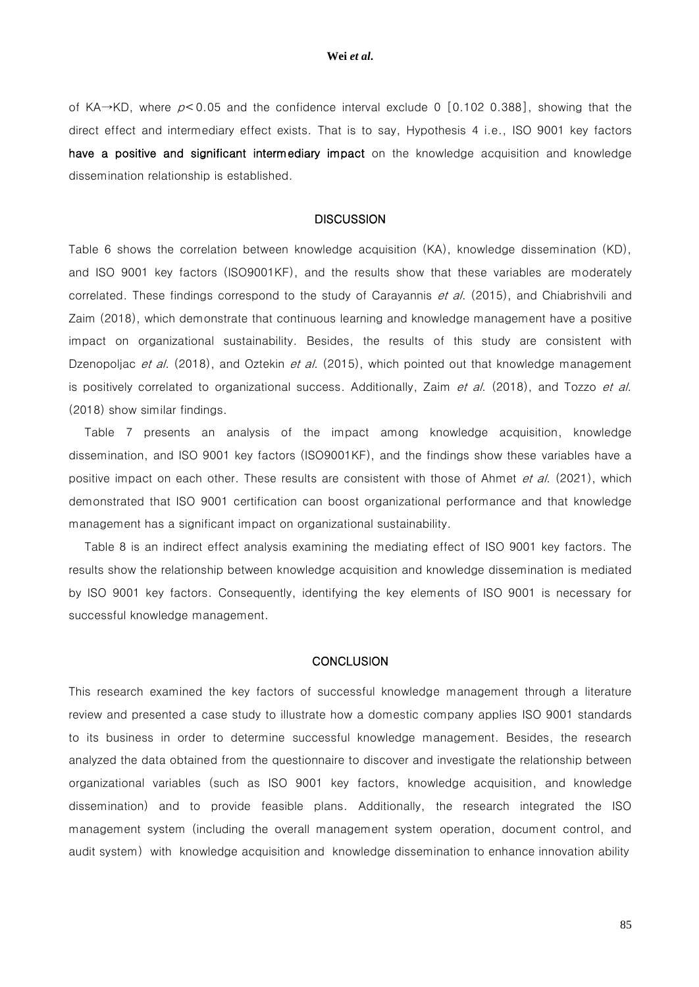of KA→KD, where  $p < 0.05$  and the confidence interval exclude 0 [0.102 0.388], showing that the direct effect and intermediary effect exists. That is to say, Hypothesis 4 i.e., ISO 9001 key factors have a positive and significant intermediary impact on the knowledge acquisition and knowledge dissemination relationship is established.

### **DISCUSSION**

Table 6 shows the correlation between knowledge acquisition (KA), knowledge dissemination (KD), and ISO 9001 key factors (ISO9001KF), and the results show that these variables are moderately correlated. These findings correspond to the study of Carayannis et al. (2015), and Chiabrishvili and Zaim (2018), which demonstrate that continuous learning and knowledge management have a positive impact on organizational sustainability. Besides, the results of this study are consistent with Dzenopoljac et al. (2018), and Oztekin et al. (2015), which pointed out that knowledge management is positively correlated to organizational success. Additionally, Zaim et al. (2018), and Tozzo et al. (2018) show similar findings.

Table 7 presents an analysis of the impact among knowledge acquisition, knowledge dissemination, and ISO 9001 key factors (ISO9001KF), and the findings show these variables have a positive impact on each other. These results are consistent with those of Ahmet et al. (2021), which demonstrated that ISO 9001 certification can boost organizational performance and that knowledge management has a significant impact on organizational sustainability.

Table 8 is an indirect effect analysis examining the mediating effect of ISO 9001 key factors. The results show the relationship between knowledge acquisition and knowledge dissemination is mediated by ISO 9001 key factors. Consequently, identifying the key elements of ISO 9001 is necessary for successful knowledge management.

#### **CONCLUSION**

This research examined the key factors of successful knowledge management through a literature review and presented a case study to illustrate how a domestic company applies ISO 9001 standards to its business in order to determine successful knowledge management. Besides, the research analyzed the data obtained from the questionnaire to discover and investigate the relationship between organizational variables (such as ISO 9001 key factors, knowledge acquisition, and knowledge dissemination) and to provide feasible plans. Additionally, the research integrated the ISO management system (including the overall management system operation, document control, and audit system) with knowledge acquisition and knowledge dissemination to enhance innovation ability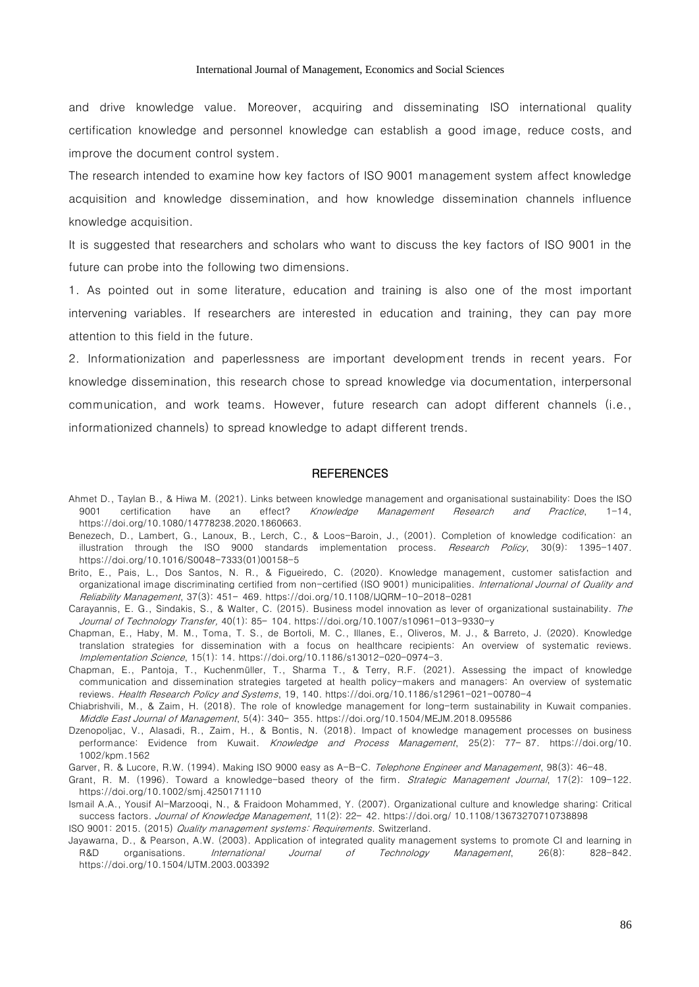and drive knowledge value. Moreover, acquiring and disseminating ISO international quality certification knowledge and personnel knowledge can establish a good image, reduce costs, and improve the document control system.

The research intended to examine how key factors of ISO 9001 management system affect knowledge acquisition and knowledge dissemination, and how knowledge dissemination channels influence knowledge acquisition.

It is suggested that researchers and scholars who want to discuss the key factors of ISO 9001 in the future can probe into the following two dimensions.

1. As pointed out in some literature, education and training is also one of the most important intervening variables. If researchers are interested in education and training, they can pay more attention to this field in the future.

2. Informationization and paperlessness are important development trends in recent years. For knowledge dissemination, this research chose to spread knowledge via documentation, interpersonal communication, and work teams. However, future research can adopt different channels (i.e., informationized channels) to spread knowledge to adapt different trends.

#### **REFERENCES**

- Ahmet D., Taylan B., & Hiwa M. (2021). Links between knowledge management and organisational sustainability: Does the ISO 9001 certification have an effect? Knowledge Management Research and Practice, 1-14, https://doi.org/10.1080/14778238.2020.1860663.
- Benezech, D., Lambert, G., Lanoux, B., Lerch, C., & Loos-Baroin, J., (2001). Completion of knowledge codification: an illustration through the ISO 9000 standards implementation process. *Research Policy*, 30(9): 1395-1407. [https://doi.org/10.1016/S0048-7333\(01\)00158-5](https://doi.org/10.1016/S0048-7333(01)00158-5)
- Brito, E., Pais, L., Dos Santos, N. R., & Figueiredo, C. (2020). Knowledge management, customer satisfaction and organizational image discriminating certified from non-certified (ISO 9001) municipalities. International Journal of Quality and Reliability Management, 37(3): 451– 469.<https://doi.org/10.1108/IJQRM-10-2018-0281>
- Carayannis, E. G., Sindakis, S., & Walter, C. (2015). Business model innovation as lever of organizational sustainability. The Journal of Technology Transfer, 40(1): 85– 104.<https://doi.org/10.1007/s10961-013-9330-y>
- Chapman, E., Haby, M. M., Toma, T. S., de Bortoli, M. C., Illanes, E., Oliveros, M. J., & Barreto, J. (2020). Knowledge translation strategies for dissemination with a focus on healthcare recipients: An overview of systematic reviews. Implementation Science, 15(1): 14. [https://doi.org/10.1186/s13012-020-0974-3.](https://doi.org/10.1186/s13012-020-0974-3)
- Chapman, E., Pantoja, T., Kuchenmüller, T., Sharma T., & Terry, R.F. (2021). Assessing the impact of knowledge communication and dissemination strategies targeted at health policy-makers and managers: An overview of systematic reviews. Health Research Policy and Systems, 19, 140.<https://doi.org/10.1186/s12961-021-00780-4>
- Chiabrishvili, M., & Zaim, H. (2018). The role of knowledge management for long-term sustainability in Kuwait companies. Middle East Journal of Management, 5(4): 340– 355[. https://doi.org/10.1504/MEJM.2018.095586](https://doi.org/10.1504/MEJM.2018.095586)
- Dzenopoljac, V., Alasadi, R., Zaim, H., & Bontis, N. (2018). Impact of knowledge management processes on business performance: Evidence from Kuwait. Knowledge and Process Management, 25(2): 77-87. https://doi.org/10. [1002/kpm.1562](https://doi.org/10.%201002/kpm.1562)

Garver, R. & Lucore, R.W. (1994). Making ISO 9000 easy as A-B-C. Telephone Engineer and Management, 98(3): 46-48.

- Grant, R. M. (1996). Toward a knowledge-based theory of the firm. Strategic Management Journal, 17(2): 109-122. <https://doi.org/10.1002/smj.4250171110>
- Ismail A.A., Yousif Al-Marzooqi, N., & Fraidoon Mohammed, Y. (2007). Organizational culture and knowledge sharing: Critical success factors. Journal of Knowledge Management, 11(2): 22- 42. https://doi.org/ 10.1108/13673270710738898 ISO 9001: 2015. (2015) Quality management systems: Requirements. Switzerland.
- Jayawarna, D., & Pearson, A.W. (2003). Application of integrated quality management systems to promote CI and learning in R&D organisations. International Journal of Technology Management, 26(8): 828-842. <https://doi.org/10.1504/IJTM.2003.003392>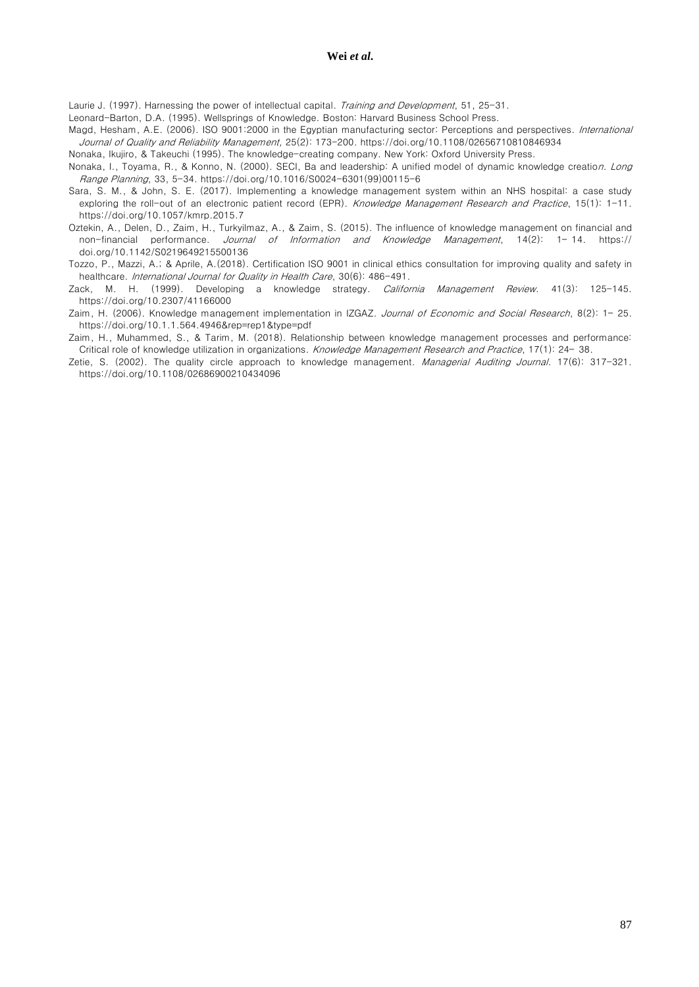Laurie J. (1997). Harnessing the power of intellectual capital. Training and Development, 51, 25-31.

Leonard-Barton, D.A. (1995). Wellsprings of Knowledge. Boston: Harvard Business School Press.

Magd, Hesham, A.E. (2006). ISO 9001:2000 in the Egyptian manufacturing sector: Perceptions and perspectives. International Journal of Quality and Reliability Management, 25(2): 173-200.<https://doi.org/10.1108/02656710810846934>

Nonaka, Ikujiro, & Takeuchi (1995). The knowledge-creating company. New York: Oxford University Press.

- Nonaka, I., Toyama, R., & Konno, N. (2000). SECI, Ba and leadership: A unified model of dynamic knowledge creation. Long Range Planning, 33, 5-34. [https://doi.org/10.1016/S0024-6301\(99\)00115-6](https://doi.org/10.1016/S0024-6301(99)00115-6)
- Sara, S. M., & John, S. E. (2017). Implementing a knowledge management system within an NHS hospital: a case study exploring the roll-out of an electronic patient record (EPR). Knowledge Management Research and Practice, 15(1): 1-11. <https://doi.org/10.1057/kmrp.2015.7>
- Oztekin, A., Delen, D., Zaim, H., Turkyilmaz, A., & Zaim, S. (2015). The influence of knowledge management on financial and non-financial performance. *Journal of Information and Knowledge Management*, 14(2): 1-14. https:// doi.org/10.1142/S0219649215500136
- Tozzo, P., Mazzi, A.; & Aprile, A.(2018). Certification ISO 9001 in clinical ethics consultation for improving quality and safety in healthcare. International Journal for Quality in Health Care, 30(6): 486-491.
- Zack, M. H. (1999). Developing a knowledge strategy. California Management Review. 41(3): 125-145. <https://doi.org/10.2307/41166000>
- Zaim, H. (2006). Knowledge management implementation in IZGAZ. Journal of Economic and Social Research, 8(2): 1- 25. https://doi.org/10.1.1.564.4946&rep=rep1&type=pdf
- Zaim, H., Muhammed, S., & Tarim, M. (2018). Relationship between knowledge management processes and performance: Critical role of knowledge utilization in organizations. Knowledge Management Research and Practice, 17(1): 24-38.
- Zetie, S. (2002). The quality circle approach to knowledge management. Managerial Auditing Journal. 17(6): 317-321. <https://doi.org/10.1108/02686900210434096>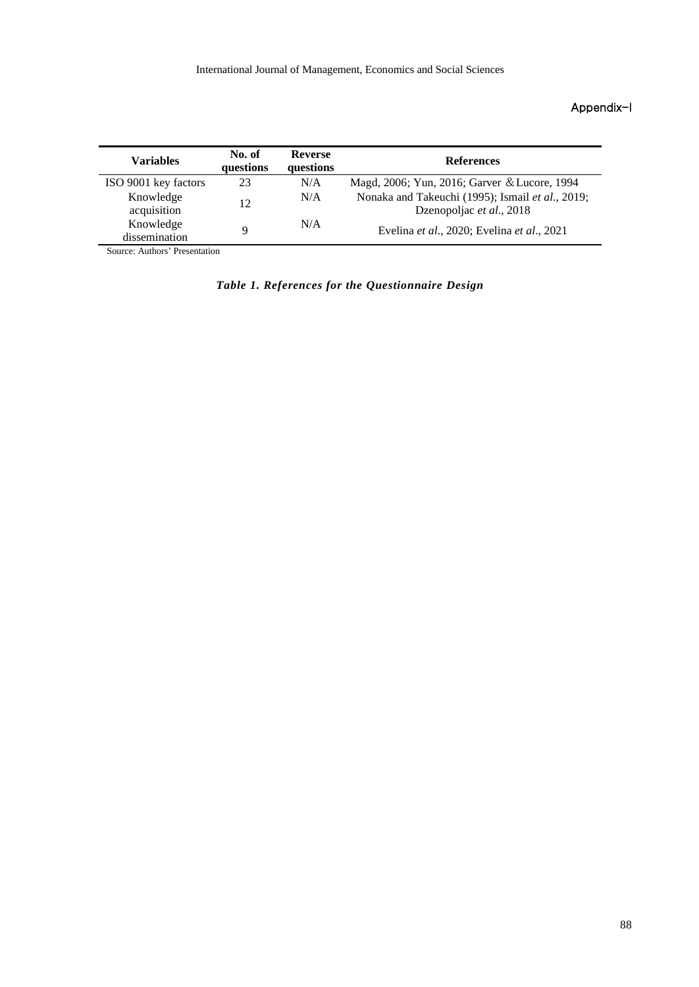## Appendix-I

| <b>Variables</b>           | No. of<br>questions | <b>Reverse</b><br>questions | <b>References</b>                                                            |
|----------------------------|---------------------|-----------------------------|------------------------------------------------------------------------------|
| ISO 9001 key factors       | 23                  | N/A                         | Magd, 2006; Yun, 2016; Garver & Lucore, 1994                                 |
| Knowledge<br>acquisition   | 12                  | N/A                         | Nonaka and Takeuchi (1995); Ismail et al., 2019;<br>Dzenopoljac et al., 2018 |
| Knowledge<br>dissemination |                     | N/A                         | Evelina et al., 2020; Evelina et al., 2021                                   |

Source: Authors' Presentation

*Table 1. References for the Questionnaire Design*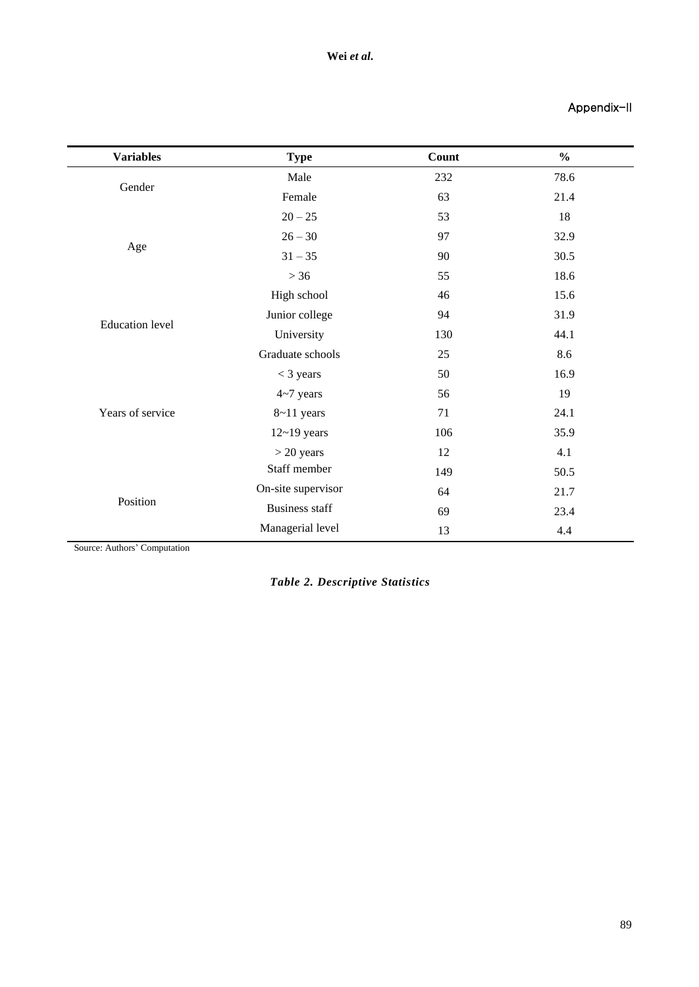# Appendix-II

| <b>Variables</b>       | <b>Type</b>                                                                                                                                                                                                                                                                                                                                                                   | Count | $\frac{0}{0}$ |
|------------------------|-------------------------------------------------------------------------------------------------------------------------------------------------------------------------------------------------------------------------------------------------------------------------------------------------------------------------------------------------------------------------------|-------|---------------|
|                        | Male                                                                                                                                                                                                                                                                                                                                                                          | 232   | 78.6          |
| Gender                 | Female                                                                                                                                                                                                                                                                                                                                                                        | 63    | 21.4          |
|                        | $20 - 25$                                                                                                                                                                                                                                                                                                                                                                     | 53    | 18            |
|                        | 97<br>$26 - 30$<br>$31 - 35$<br>90<br>$>36$<br>55<br>High school<br>46<br>Junior college<br>94<br>University<br>130<br>Graduate schools<br>25<br>50<br>$<$ 3 years<br>$4 - 7$ years<br>56<br>71<br>$8 - 11$ years<br>106<br>$12 - 19$ years<br>$>$ 20 years<br>12<br>Staff member<br>149<br>On-site supervisor<br>64<br><b>Business staff</b><br>69<br>Managerial level<br>13 |       | 32.9          |
| Age                    |                                                                                                                                                                                                                                                                                                                                                                               |       | 30.5          |
|                        |                                                                                                                                                                                                                                                                                                                                                                               |       | 18.6          |
|                        |                                                                                                                                                                                                                                                                                                                                                                               |       | 15.6          |
|                        |                                                                                                                                                                                                                                                                                                                                                                               |       | 31.9          |
| <b>Education</b> level |                                                                                                                                                                                                                                                                                                                                                                               |       | 44.1          |
|                        |                                                                                                                                                                                                                                                                                                                                                                               |       | 8.6           |
|                        |                                                                                                                                                                                                                                                                                                                                                                               |       | 16.9          |
|                        |                                                                                                                                                                                                                                                                                                                                                                               |       | 19            |
| Years of service       |                                                                                                                                                                                                                                                                                                                                                                               |       | 24.1          |
|                        |                                                                                                                                                                                                                                                                                                                                                                               |       | 35.9          |
|                        |                                                                                                                                                                                                                                                                                                                                                                               |       | 4.1           |
|                        |                                                                                                                                                                                                                                                                                                                                                                               |       | 50.5          |
|                        |                                                                                                                                                                                                                                                                                                                                                                               |       | 21.7          |
| Position               |                                                                                                                                                                                                                                                                                                                                                                               |       | 23.4          |
|                        |                                                                                                                                                                                                                                                                                                                                                                               |       | 4.4           |

Source: Authors' Computation

*Table 2. Descriptive Statistics*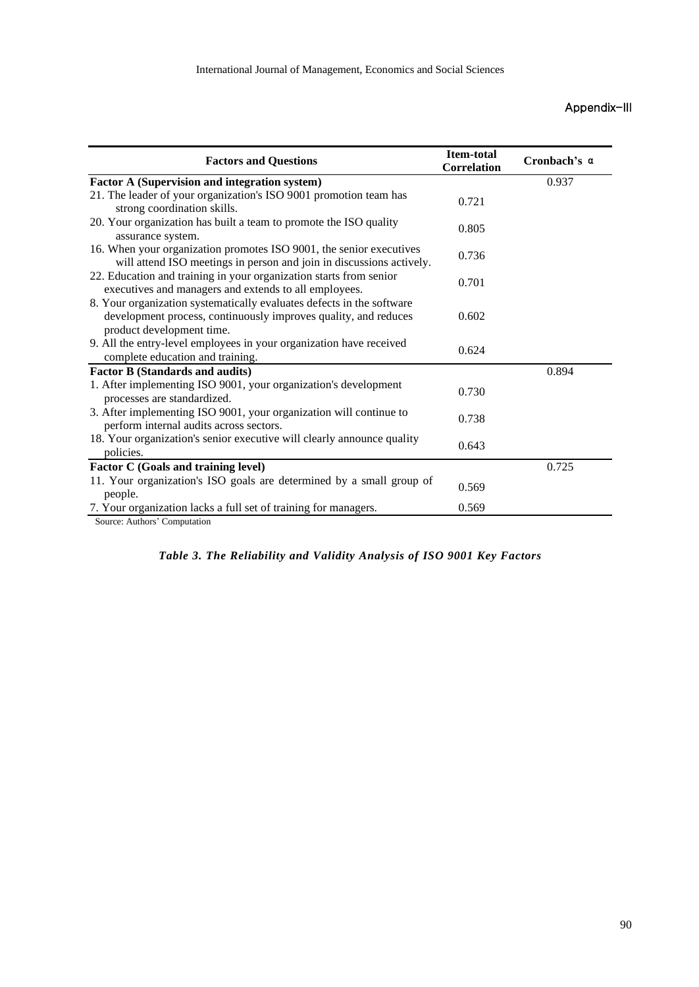# Appendix-III

| <b>Factors and Questions</b>                                                                                                                                          | <b>Item-total</b><br><b>Correlation</b> | Cronbach's a |
|-----------------------------------------------------------------------------------------------------------------------------------------------------------------------|-----------------------------------------|--------------|
| <b>Factor A (Supervision and integration system)</b>                                                                                                                  |                                         | 0.937        |
| 21. The leader of your organization's ISO 9001 promotion team has<br>strong coordination skills.                                                                      | 0.721                                   |              |
| 20. Your organization has built a team to promote the ISO quality<br>assurance system.                                                                                | 0.805                                   |              |
| 16. When your organization promotes ISO 9001, the senior executives<br>will attend ISO meetings in person and join in discussions actively.                           | 0.736                                   |              |
| 22. Education and training in your organization starts from senior<br>executives and managers and extends to all employees.                                           | 0.701                                   |              |
| 8. Your organization systematically evaluates defects in the software<br>development process, continuously improves quality, and reduces<br>product development time. | 0.602                                   |              |
| 9. All the entry-level employees in your organization have received<br>complete education and training.                                                               | 0.624                                   |              |
| <b>Factor B (Standards and audits)</b>                                                                                                                                |                                         | 0.894        |
| 1. After implementing ISO 9001, your organization's development<br>processes are standardized.                                                                        | 0.730                                   |              |
| 3. After implementing ISO 9001, your organization will continue to<br>perform internal audits across sectors.                                                         | 0.738                                   |              |
| 18. Your organization's senior executive will clearly announce quality<br>policies.                                                                                   | 0.643                                   |              |
| Factor C (Goals and training level)                                                                                                                                   |                                         | 0.725        |
| 11. Your organization's ISO goals are determined by a small group of<br>people.                                                                                       | 0.569                                   |              |
| 7. Your organization lacks a full set of training for managers.<br>Source: Authors' Computation                                                                       | 0.569                                   |              |

|  |  | Table 3. The Reliability and Validity Analysis of ISO 9001 Key Factors |  |  |  |  |  |  |
|--|--|------------------------------------------------------------------------|--|--|--|--|--|--|
|--|--|------------------------------------------------------------------------|--|--|--|--|--|--|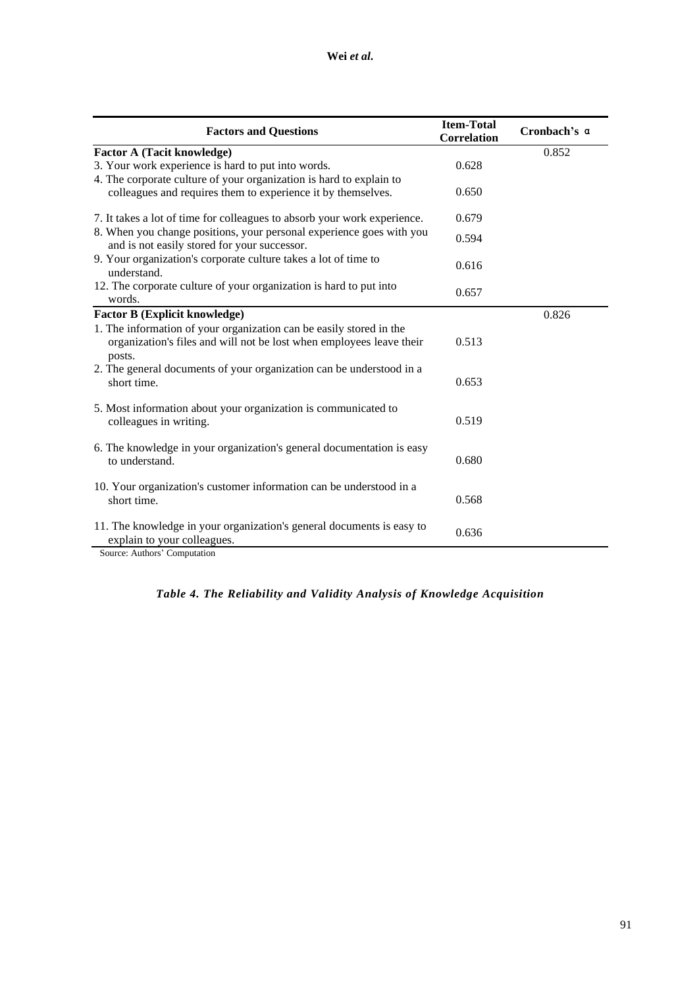| <b>Factors and Questions</b>                                                                                                                          | <b>Item-Total</b><br><b>Correlation</b> | Cronbach's a |
|-------------------------------------------------------------------------------------------------------------------------------------------------------|-----------------------------------------|--------------|
| <b>Factor A (Tacit knowledge)</b>                                                                                                                     |                                         | 0.852        |
| 3. Your work experience is hard to put into words.                                                                                                    | 0.628                                   |              |
| 4. The corporate culture of your organization is hard to explain to<br>colleagues and requires them to experience it by themselves.                   | 0.650                                   |              |
| 7. It takes a lot of time for colleagues to absorb your work experience.                                                                              | 0.679                                   |              |
| 8. When you change positions, your personal experience goes with you<br>and is not easily stored for your successor.                                  | 0.594                                   |              |
| 9. Your organization's corporate culture takes a lot of time to<br>understand.                                                                        | 0.616                                   |              |
| 12. The corporate culture of your organization is hard to put into<br>words.                                                                          | 0.657                                   |              |
| <b>Factor B (Explicit knowledge)</b>                                                                                                                  |                                         | 0.826        |
| 1. The information of your organization can be easily stored in the<br>organization's files and will not be lost when employees leave their<br>posts. | 0.513                                   |              |
| 2. The general documents of your organization can be understood in a<br>short time.                                                                   | 0.653                                   |              |
| 5. Most information about your organization is communicated to<br>colleagues in writing.                                                              | 0.519                                   |              |
| 6. The knowledge in your organization's general documentation is easy<br>to understand.                                                               | 0.680                                   |              |
| 10. Your organization's customer information can be understood in a<br>short time.                                                                    | 0.568                                   |              |
| 11. The knowledge in your organization's general documents is easy to<br>explain to your colleagues.<br>$\sim$ A and compared $\sim$                  | 0.636                                   |              |

Source: Authors' Computation

# *Table 4. The Reliability and Validity Analysis of Knowledge Acquisition*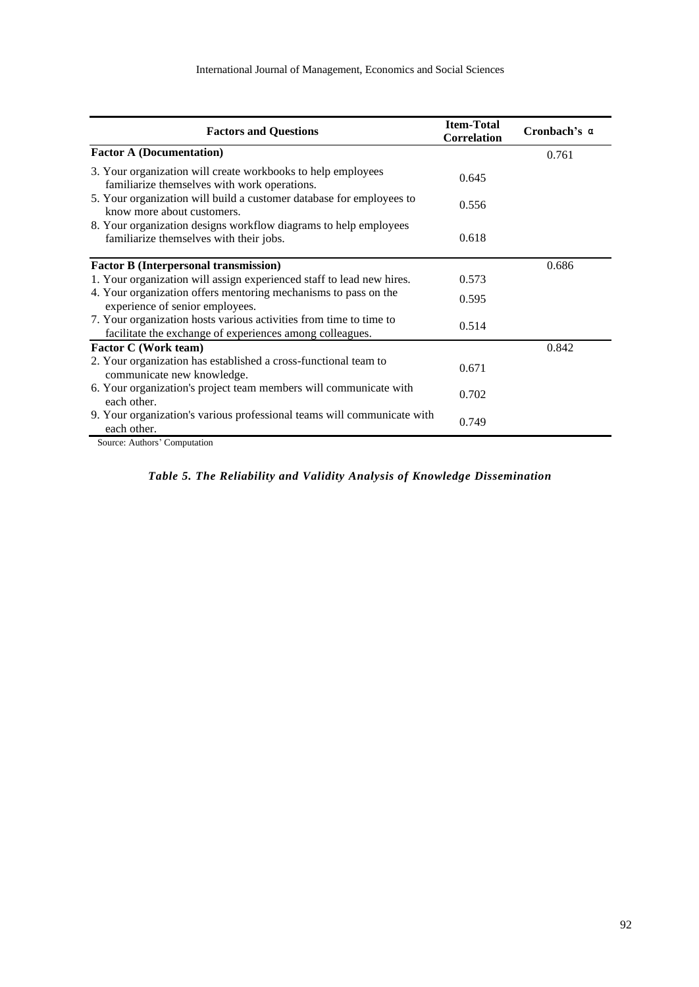| <b>Factors and Questions</b>                                                                                                   | <b>Item-Total</b><br><b>Correlation</b> | Cronbach's a |
|--------------------------------------------------------------------------------------------------------------------------------|-----------------------------------------|--------------|
| <b>Factor A (Documentation)</b>                                                                                                |                                         | 0.761        |
| 3. Your organization will create workbooks to help employees<br>familiarize themselves with work operations.                   | 0.645                                   |              |
| 5. Your organization will build a customer database for employees to<br>know more about customers.                             | 0.556                                   |              |
| 8. Your organization designs workflow diagrams to help employees<br>familiarize themselves with their jobs.                    | 0.618                                   |              |
| <b>Factor B (Interpersonal transmission)</b>                                                                                   |                                         | 0.686        |
| 1. Your organization will assign experienced staff to lead new hires.                                                          | 0.573                                   |              |
| 4. Your organization offers mentoring mechanisms to pass on the<br>experience of senior employees.                             | 0.595                                   |              |
| 7. Your organization hosts various activities from time to time to<br>facilitate the exchange of experiences among colleagues. | 0.514                                   |              |
| Factor C (Work team)                                                                                                           |                                         | 0.842        |
| 2. Your organization has established a cross-functional team to<br>communicate new knowledge.                                  | 0.671                                   |              |
| 6. Your organization's project team members will communicate with<br>each other.                                               | 0.702                                   |              |
| 9. Your organization's various professional teams will communicate with<br>each other.                                         | 0.749                                   |              |
| Source: Authors' Computation                                                                                                   |                                         |              |

# *Table 5. The Reliability and Validity Analysis of Knowledge Dissemination*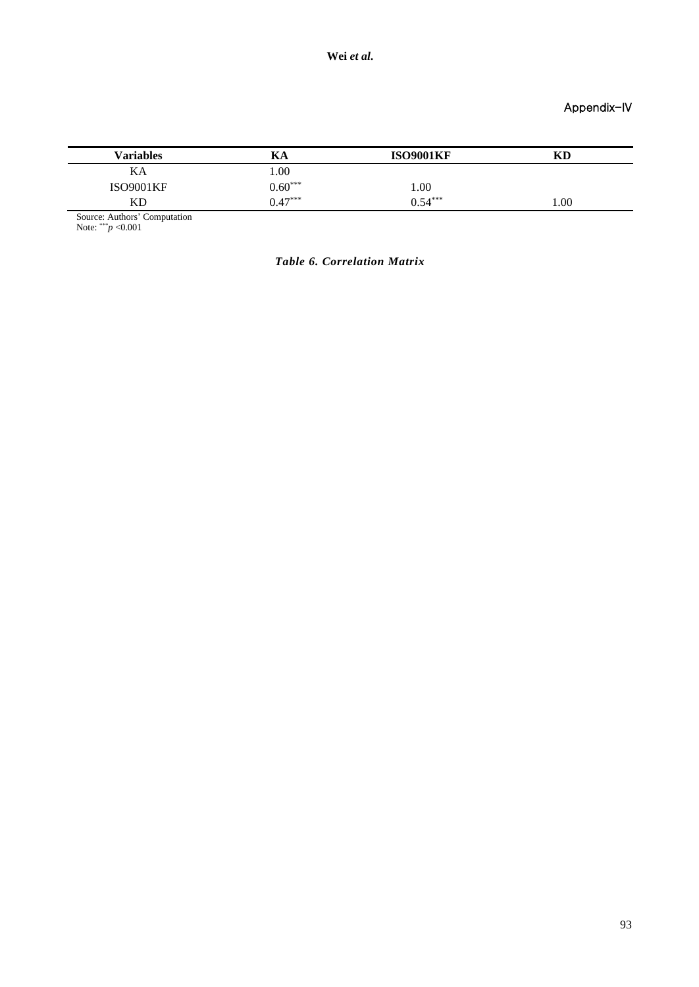Appendix-IV

| <b>Variables</b> | rа        | <b>ISO9001KF</b> | KD   |
|------------------|-----------|------------------|------|
| KА               | 1.00      |                  |      |
| <b>ISO9001KF</b> | $0.60***$ | 1.00             |      |
| <b>KD</b>        | $0.47***$ | $0.54***$        | 1.00 |

Source: Authors' Computation

Note: \*\*\**p* <0.001

*Table 6. Correlation Matrix*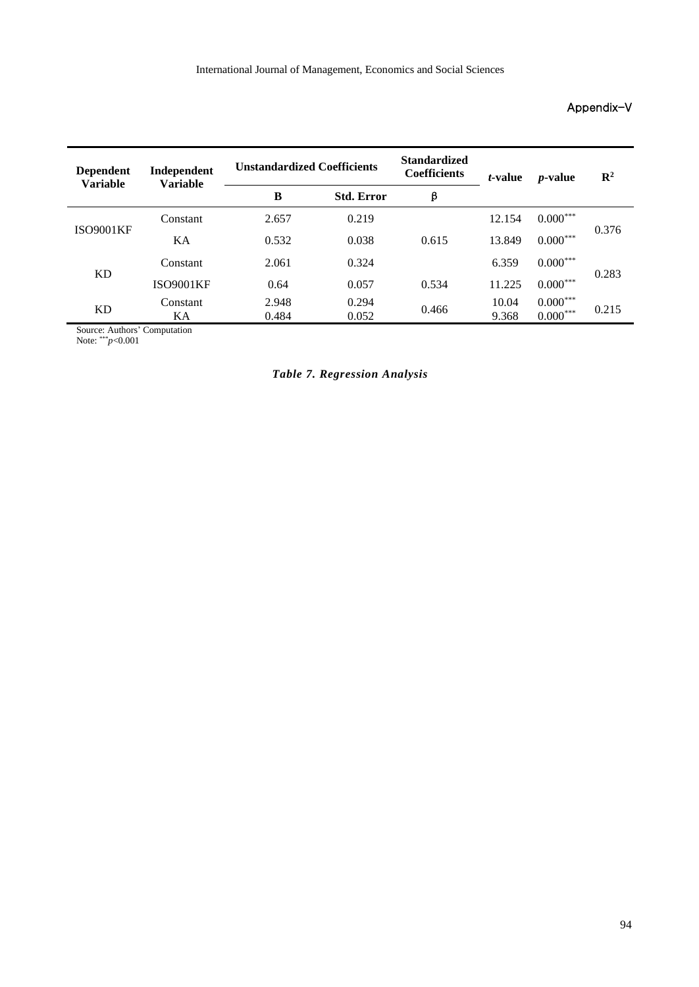# Appendix-V

| Independent<br><b>Dependent</b><br><b>Variable</b><br><b>Variable</b> |                  | <b>Unstandardized Coefficients</b> |                   | <b>Standardized</b><br><b>Coefficients</b> | <i>t</i> -value | <i>p</i> -value             | $\mathbb{R}^2$ |
|-----------------------------------------------------------------------|------------------|------------------------------------|-------------------|--------------------------------------------|-----------------|-----------------------------|----------------|
|                                                                       |                  | B                                  | <b>Std. Error</b> | β                                          |                 |                             |                |
|                                                                       | Constant         | 2.657                              | 0.219             |                                            | 12.154          | $0.000^{***}$               |                |
| <b>ISO9001KF</b>                                                      | KA               | 0.532                              | 0.038             | 0.615                                      | 13.849          | $0.000***$                  | 0.376          |
|                                                                       | Constant         | 2.061                              | 0.324             |                                            | 6.359           | $0.000***$                  |                |
| KD                                                                    | <b>ISO9001KF</b> | 0.64                               | 0.057             | 0.534                                      | 11.225          | $0.000***$                  | 0.283          |
| KD                                                                    | Constant<br>KА   | 2.948<br>0.484                     | 0.294<br>0.052    | 0.466                                      | 10.04<br>9.368  | $0.000***$<br>$0.000^{***}$ | 0.215          |

Source: Authors' Computation

Note: \*\*\**p*<0.001

# *Table 7. Regression Analysis*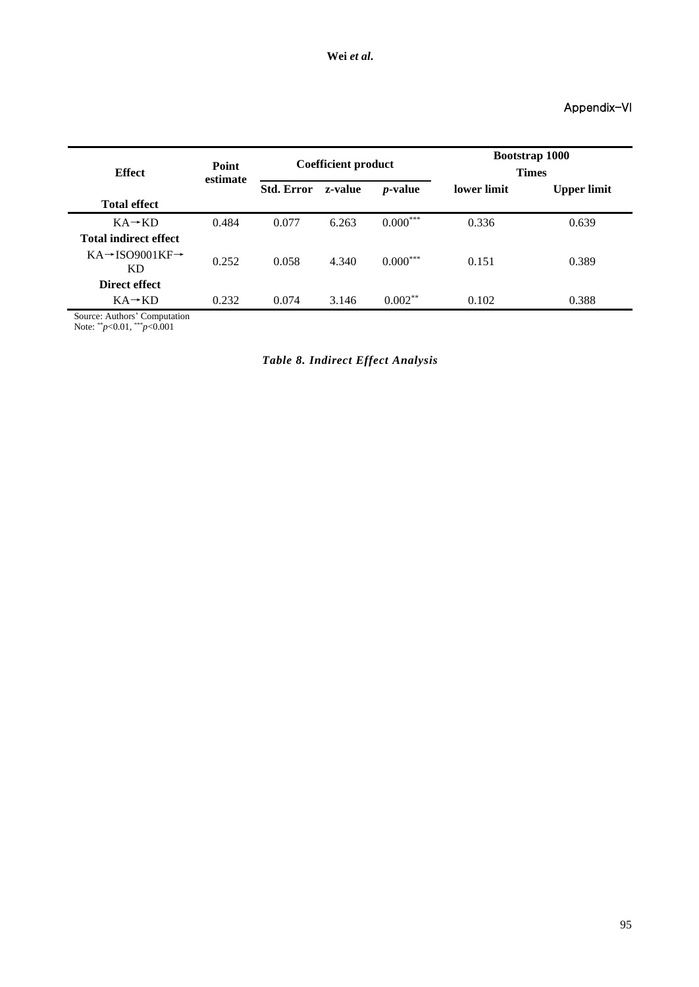# Appendix-VI

| <b>Effect</b>                            | Point<br>estimate | <b>Coefficient product</b> |                       |            | <b>Bootstrap 1000</b><br><b>Times</b> |                    |  |
|------------------------------------------|-------------------|----------------------------|-----------------------|------------|---------------------------------------|--------------------|--|
|                                          |                   | <b>Std. Error</b>          | $p$ -value<br>z-value |            | lower limit                           | <b>Upper limit</b> |  |
| <b>Total effect</b>                      |                   |                            |                       |            |                                       |                    |  |
| $KA \rightarrow KD$                      | 0.484             | 0.077                      | 6.263                 | $0.000***$ | 0.336                                 | 0.639              |  |
| <b>Total indirect effect</b>             |                   |                            |                       |            |                                       |                    |  |
| $KA \rightarrow$ ISO9001KF $\rightarrow$ | 0.252             | 0.058                      | 4.340                 | $0.000***$ | 0.151                                 | 0.389              |  |
| KD                                       |                   |                            |                       |            |                                       |                    |  |
| Direct effect                            |                   |                            |                       |            |                                       |                    |  |
| $KA \rightarrow KD$                      | 0.232             | 0.074                      | 3.146                 | $0.002**$  | 0.102                                 | 0.388              |  |

Source: Authors' Computation

Note: \*\**p*<0.01, \*\*\**p*<0.001

*Table 8. Indirect Effect Analysis*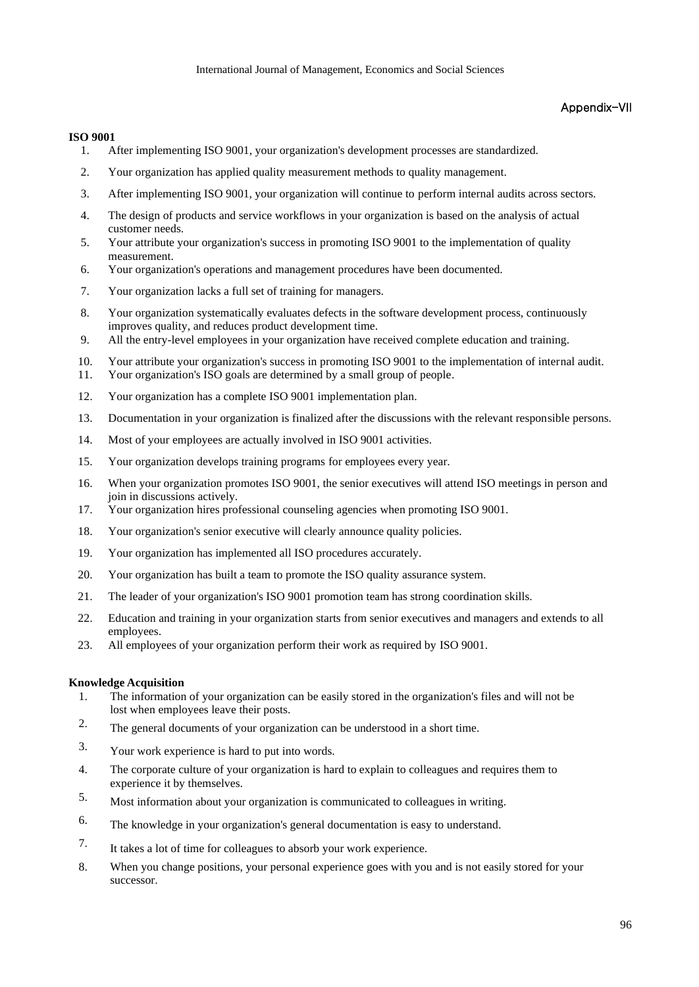### Appendix-VII

#### **ISO 9001**

- 1. After implementing ISO 9001, your organization's development processes are standardized.
- 2. Your organization has applied quality measurement methods to quality management.
- 3. After implementing ISO 9001, your organization will continue to perform internal audits across sectors.
- 4. The design of products and service workflows in your organization is based on the analysis of actual customer needs.
- 5. Your attribute your organization's success in promoting ISO 9001 to the implementation of quality measurement.
- 6. Your organization's operations and management procedures have been documented.
- 7. Your organization lacks a full set of training for managers.
- 8. Your organization systematically evaluates defects in the software development process, continuously improves quality, and reduces product development time.
- 9. All the entry-level employees in your organization have received complete education and training.
- 10. Your attribute your organization's success in promoting ISO 9001 to the implementation of internal audit.
- 11. Your organization's ISO goals are determined by a small group of people.
- 12. Your organization has a complete ISO 9001 implementation plan.
- 13. Documentation in your organization is finalized after the discussions with the relevant responsible persons.
- 14. Most of your employees are actually involved in ISO 9001 activities.
- 15. Your organization develops training programs for employees every year.
- 16. When your organization promotes ISO 9001, the senior executives will attend ISO meetings in person and join in discussions actively.
- 17. Your organization hires professional counseling agencies when promoting ISO 9001.
- 18. Your organization's senior executive will clearly announce quality policies.
- 19. Your organization has implemented all ISO procedures accurately.
- 20. Your organization has built a team to promote the ISO quality assurance system.
- 21. The leader of your organization's ISO 9001 promotion team has strong coordination skills.
- 22. Education and training in your organization starts from senior executives and managers and extends to all employees.
- 23. All employees of your organization perform their work as required by ISO 9001.

#### **Knowledge Acquisition**

- 1. The information of your organization can be easily stored in the organization's files and will not be lost when employees leave their posts.
- 2. The general documents of your organization can be understood in a short time.
- 3. Your work experience is hard to put into words.
- 4. The corporate culture of your organization is hard to explain to colleagues and requires them to experience it by themselves.
- 5. Most information about your organization is communicated to colleagues in writing.
- 6. The knowledge in your organization's general documentation is easy to understand.
- 7. It takes a lot of time for colleagues to absorb your work experience.
- 8. When you change positions, your personal experience goes with you and is not easily stored for your successor.